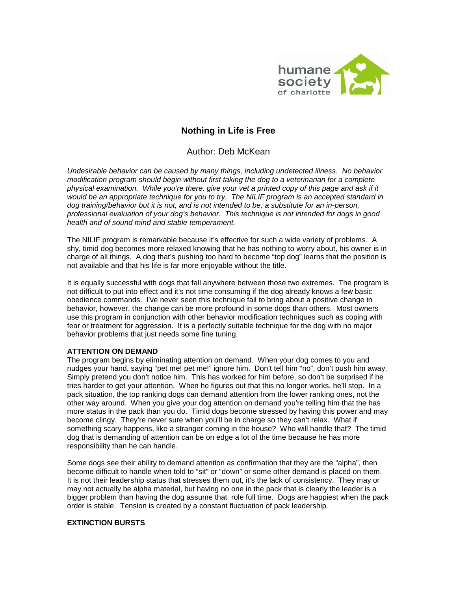

# **Nothing in Life is Free**

Author: Deb McKean

*Undesirable behavior can be caused by many things, including undetected illness. No behavior modification program should begin without first taking the dog to a veterinarian for a complete physical examination. While you're there, give your vet a printed copy of this page and ask if it would be an appropriate technique for you to try. The NILIF program is an accepted standard in dog training/behavior but it is not, and is not intended to be, a substitute for an in-person, professional evaluation of your dog's behavior. This technique is not intended for dogs in good health and of sound mind and stable temperament.*

The NILIF program is remarkable because it's effective for such a wide variety of problems. A shy, timid dog becomes more relaxed knowing that he has nothing to worry about, his owner is in charge of all things. A dog that's pushing too hard to become "top dog" learns that the position is not available and that his life is far more enjoyable without the title.

It is equally successful with dogs that fall anywhere between those two extremes. The program is not difficult to put into effect and it's not time consuming if the dog already knows a few basic obedience commands. I've never seen this technique fail to bring about a positive change in behavior, however, the change can be more profound in some dogs than others. Most owners use this program in conjunction with other behavior modification techniques such as coping with fear or treatment for aggression. It is a perfectly suitable technique for the dog with no major behavior problems that just needs some fine tuning.

## **ATTENTION ON DEMAND**

The program begins by eliminating attention on demand. When your dog comes to you and nudges your hand, saying "pet me! pet me!" ignore him. Don't tell him "no", don't push him away. Simply pretend you don't notice him. This has worked for him before, so don't be surprised if he tries harder to get your attention. When he figures out that this no longer works, he'll stop. In a pack situation, the top ranking dogs can demand attention from the lower ranking ones, not the other way around. When you give your dog attention on demand you're telling him that the has more status in the pack than you do. Timid dogs become stressed by having this power and may become clingy. They're never sure when you'll be in charge so they can't relax. What if something scary happens, like a stranger coming in the house? Who will handle that? The timid dog that is demanding of attention can be on edge a lot of the time because he has more responsibility than he can handle.

Some dogs see their ability to demand attention as confirmation that they are the "alpha", then become difficult to handle when told to "sit" or "down" or some other demand is placed on them. It is not their leadership status that stresses them out, it's the lack of consistency. They may or may not actually be alpha material, but having no one in the pack that is clearly the leader is a bigger problem than having the dog assume that role full time. Dogs are happiest when the pack order is stable. Tension is created by a constant fluctuation of pack leadership.

## **EXTINCTION BURSTS**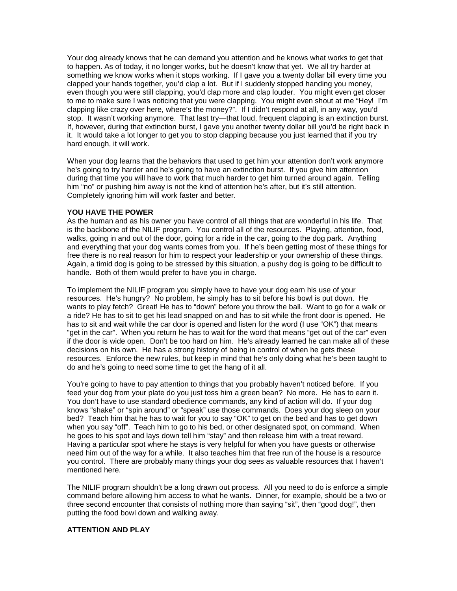Your dog already knows that he can demand you attention and he knows what works to get that to happen. As of today, it no longer works, but he doesn't know that yet. We all try harder at something we know works when it stops working. If I gave you a twenty dollar bill every time you clapped your hands together, you'd clap a lot. But if I suddenly stopped handing you money, even though you were still clapping, you'd clap more and clap louder. You might even get closer to me to make sure I was noticing that you were clapping. You might even shout at me "Hey! I'm clapping like crazy over here, where's the money?". If I didn't respond at all, in any way, you'd stop. It wasn't working anymore. That last try—that loud, frequent clapping is an extinction burst. If, however, during that extinction burst, I gave you another twenty dollar bill you'd be right back in it. It would take a lot longer to get you to stop clapping because you just learned that if you try hard enough, it will work.

When your dog learns that the behaviors that used to get him your attention don't work anymore he's going to try harder and he's going to have an extinction burst. If you give him attention during that time you will have to work that much harder to get him turned around again. Telling him "no" or pushing him away is not the kind of attention he's after, but it's still attention. Completely ignoring him will work faster and better.

#### **YOU HAVE THE POWER**

As the human and as his owner you have control of all things that are wonderful in his life. That is the backbone of the NILIF program. You control all of the resources. Playing, attention, food, walks, going in and out of the door, going for a ride in the car, going to the dog park. Anything and everything that your dog wants comes from you. If he's been getting most of these things for free there is no real reason for him to respect your leadership or your ownership of these things. Again, a timid dog is going to be stressed by this situation, a pushy dog is going to be difficult to handle. Both of them would prefer to have you in charge.

To implement the NILIF program you simply have to have your dog earn his use of your resources. He's hungry? No problem, he simply has to sit before his bowl is put down. He wants to play fetch? Great! He has to "down" before you throw the ball. Want to go for a walk or a ride? He has to sit to get his lead snapped on and has to sit while the front door is opened. He has to sit and wait while the car door is opened and listen for the word (I use "OK") that means "get in the car". When you return he has to wait for the word that means "get out of the car" even if the door is wide open. Don't be too hard on him. He's already learned he can make all of these decisions on his own. He has a strong history of being in control of when he gets these resources. Enforce the new rules, but keep in mind that he's only doing what he's been taught to do and he's going to need some time to get the hang of it all.

You're going to have to pay attention to things that you probably haven't noticed before. If you feed your dog from your plate do you just toss him a green bean? No more. He has to earn it. You don't have to use standard obedience commands, any kind of action will do. If your dog knows "shake" or "spin around" or "speak" use those commands. Does your dog sleep on your bed? Teach him that he has to wait for you to say "OK" to get on the bed and has to get down when you say "off". Teach him to go to his bed, or other designated spot, on command. When he goes to his spot and lays down tell him "stay" and then release him with a treat reward. Having a particular spot where he stays is very helpful for when you have guests or otherwise need him out of the way for a while. It also teaches him that free run of the house is a resource you control. There are probably many things your dog sees as valuable resources that I haven't mentioned here.

The NILIF program shouldn't be a long drawn out process. All you need to do is enforce a simple command before allowing him access to what he wants. Dinner, for example, should be a two or three second encounter that consists of nothing more than saying "sit", then "good dog!", then putting the food bowl down and walking away.

#### **ATTENTION AND PLAY**